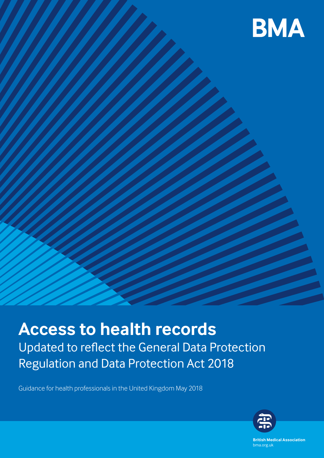

# **Access to health records** Updated to reflect the General Data Protection Regulation and Data Protection Act 2018

Guidance for health professionals in the United Kingdom May 2018



**British Medical Association** bma.org.uk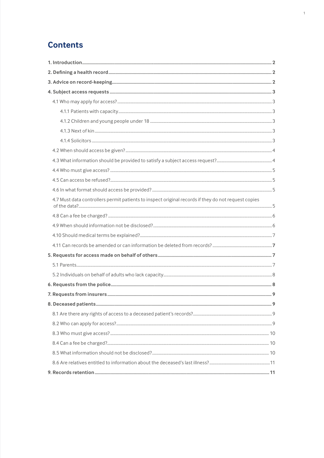# **Contents**

| 4.7 Must data controllers permit patients to inspect original records if they do not request copies |  |
|-----------------------------------------------------------------------------------------------------|--|
|                                                                                                     |  |
|                                                                                                     |  |
|                                                                                                     |  |
|                                                                                                     |  |
|                                                                                                     |  |
|                                                                                                     |  |
|                                                                                                     |  |
|                                                                                                     |  |
|                                                                                                     |  |
|                                                                                                     |  |
|                                                                                                     |  |
|                                                                                                     |  |
|                                                                                                     |  |
|                                                                                                     |  |
|                                                                                                     |  |
|                                                                                                     |  |
|                                                                                                     |  |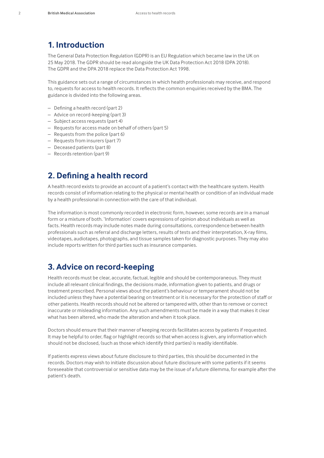# **1. Introduction**

The General Data Protection Regulation (GDPR) is an EU Regulation which became law in the UK on 25 May 2018. The GDPR should be read alongside the UK Data Protection Act 2018 (DPA 2018). The GDPR and the DPA 2018 replace the Data Protection Act 1998.

This guidance sets out a range of circumstances in which health professionals may receive, and respond to, requests for access to health records. It reflects the common enquiries received by the BMA. The guidance is divided into the following areas.

- Defining a health record (part 2)
- Advice on record-keeping (part 3)
- Subject access requests (part 4)
- Requests for access made on behalf of others (part 5)
- Requests from the police (part 6)
- Requests from insurers (part 7)
- Deceased patients (part 8)
- Records retention (part 9)

# **2. Defining a health record**

A health record exists to provide an account of a patient's contact with the healthcare system. Health records consist of information relating to the physical or mental health or condition of an individual made by a health professional in connection with the care of that individual.

The information is most commonly recorded in electronic form, however, some records are in a manual form or a mixture of both. 'Information' covers expressions of opinion about individuals as well as facts. Health records may include notes made during consultations, correspondence between health professionals such as referral and discharge letters, results of tests and their interpretation, X-ray films, videotapes, audiotapes, photographs, and tissue samples taken for diagnostic purposes. They may also include reports written for third parties such as insurance companies.

# **3. Advice on record-keeping**

Health records must be clear, accurate, factual, legible and should be contemporaneous. They must include all relevant clinical findings, the decisions made, information given to patients, and drugs or treatment prescribed. Personal views about the patient's behaviour or temperament should not be included unless they have a potential bearing on treatment or it is necessary for the protection of staff or other patients. Health records should not be altered or tampered with, other than to remove or correct inaccurate or misleading information. Any such amendments must be made in a way that makes it clear what has been altered, who made the alteration and when it took place.

Doctors should ensure that their manner of keeping records facilitates access by patients if requested. It may be helpful to order, flag or highlight records so that when access is given, any information which should not be disclosed, (such as those which identify third parties) is readily identifiable.

If patients express views about future disclosure to third parties, this should be documented in the records. Doctors may wish to initiate discussion about future disclosure with some patients if it seems foreseeable that controversial or sensitive data may be the issue of a future dilemma, for example after the patient's death.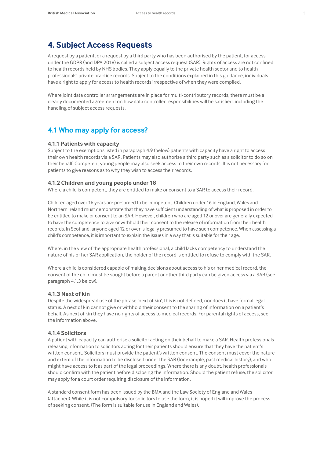# **4. Subject Access Requests**

A request by a patient, or a request by a third party who has been authorised by the patient, for access under the GDPR (and DPA 2018) is called a subject access request (SAR). Rights of access are not confined to health records held by NHS bodies. They apply equally to the private health sector and to health professionals' private practice records. Subject to the conditions explained in this guidance, individuals have a right to apply for access to health records irrespective of when they were compiled.

Where joint data controller arrangements are in place for multi-contributory records, there must be a clearly documented agreement on how data controller responsibilities will be satisfied, including the handling of subject access requests.

# **4.1 Who may apply for access?**

#### **4.1.1 Patients with capacity**

Subject to the exemptions listed in paragraph 4.9 (below) patients with capacity have a right to access their own health records via a SAR. Patients may also authorise a third party such as a solicitor to do so on their behalf. Competent young people may also seek access to their own records. It is not necessary for patients to give reasons as to why they wish to access their records.

#### **4.1.2 Children and young people under 18**

Where a child is competent, they are entitled to make or consent to a SAR to access their record.

Children aged over 16 years are presumed to be competent. Children under 16 in England, Wales and Northern Ireland must demonstrate that they have sufficient understanding of what is proposed in order to be entitled to make or consent to an SAR. However, children who are aged 12 or over are generally expected to have the competence to give or withhold their consent to the release of information from their health records. In Scotland, anyone aged 12 or over is legally presumed to have such competence. When assessing a child's competence, it is important to explain the issues in a way that is suitable for their age.

Where, in the view of the appropriate health professional, a child lacks competency to understand the nature of his or her SAR application, the holder of the record is entitled to refuse to comply with the SAR.

Where a child is considered capable of making decisions about access to his or her medical record, the consent of the child must be sought before a parent or other third party can be given access via a SAR (see paragraph 4.1.3 below).

#### **4.1.3 Next of kin**

Despite the widespread use of the phrase 'next of kin', this is not defined, nor does it have formal legal status. A next of kin cannot give or withhold their consent to the sharing of information on a patient's behalf. As next of kin they have no rights of access to medical records. For parental rights of access, see the information above.

#### **4.1.4 Solicitors**

A patient with capacity can authorise a solicitor acting on their behalf to make a SAR. Health professionals releasing information to solicitors acting for their patients should ensure that they have the patient's written consent. Solicitors must provide the patient's written consent. The consent must cover the nature and extent of the information to be disclosed under the SAR (for example, past medical history), and who might have access to it as part of the legal proceedings. Where there is any doubt, health professionals should confirm with the patient before disclosing the information. Should the patient refuse, the solicitor may apply for a court order requiring disclosure of the information.

A standard consent form has been issued by the BMA and the Law Society of England and Wales (attached). While it is not compulsory for solicitors to use the form, it is hoped it will improve the process of seeking consent. (The form is suitable for use in England and Wales).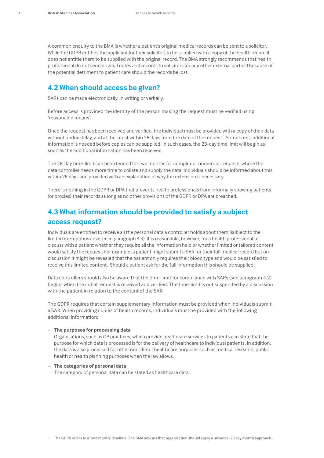A common enquiry to the BMA is whether a patient's original medical records can be sent to a solicitor. While the GDPR entitles the applicant (or their solicitor) to be supplied with a copy of the health record it does not entitle them to be supplied with the original record. The BMA strongly recommends that health professional do not send original notes and records to solicitors (or any other external parties) because of the potential detriment to patient care should the records be lost.

## **4.2 When should access be given?**

SARs can be made electronically, in writing or verbally.

Before access is provided the identity of the person making the request must be verified using 'reasonable means'.

Once the request has been received and verified, the individual must be provided with a copy of their data without undue delay, and at the latest within 28 days from the date of the request.<sup>1</sup> Sometimes, additional information is needed before copies can be supplied. In such cases, the 28-day time limit will begin as soon as the additional information has been received.

The 28-day time-limit can be extended for two months for complex or numerous requests where the data controller needs more time to collate and supply the data. Individuals should be informed about this within 28 days and provided with an explanation of why the extension is necessary.

There is nothing in the GDPR or DPA that prevents health professionals from informally showing patients (or proxies) their records as long as no other provisions of the GDPR or DPA are breached.

# **4.3 What information should be provided to satisfy a subject access request?**

Individuals are entitled to receive all the personal data a controller holds about them (subject to the limited exemptions covered in paragraph 4.9). It is reasonable, however, for a health professional to discuss with a patient whether they require all the information held or whether limited or tailored content would satisfy the request. For example, a patient might submit a SAR for their full medical record but on discussion it might be revealed that the patient only requires their blood type and would be satisfied to receive this limited content. Should a patient ask for the full information this should be supplied.

Data controllers should also be aware that the time-limit for compliance with SARs (see paragraph 4.2) begins when the initial request is received and verified. The time-limit is not suspended by a discussion with the patient in relation to the content of the SAR.

The GDPR requires that certain supplementary information must be provided when individuals submit a SAR. When providing copies of health records, individuals must be provided with the following additional information:

#### – **The purposes for processing data**

Organisations, such as GP practices, which provide healthcare services to patients can state that the purpose for which data is processed is for the delivery of healthcare to individual patients. In addition, the data is also processed for other non-direct healthcare purposes such as medical research, public health or health planning purposes when the law allows.

– **The categories of personal data** The category of personal data can be stated as healthcare data.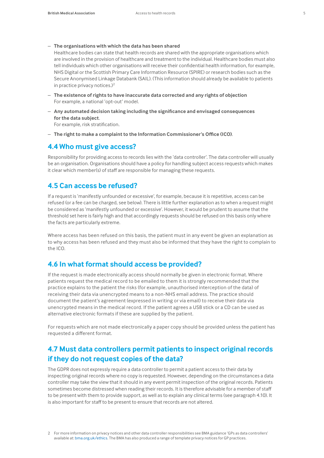– **The organisations with which the data has been shared**

Healthcare bodies can state that health records are shared with the appropriate organisations which are involved in the provision of healthcare and treatment to the individual. Healthcare bodies must also tell individuals which other organisations will receive their confidential health information, for example, NHS Digital or the Scottish Primary Care Information Resource (SPIRE) or research bodies such as the Secure Anonymised Linkage Databank (SAIL). (This information should already be available to patients in practice privacy notices. $)^2$ 

- **The existence of rights to have inaccurate data corrected and any rights of objection**  For example, a national 'opt-out' model.
- **Any automated decision taking including the significance and envisaged consequences for the data subject**. For example, risk stratification.
- **The right to make a complaint to the Information Commissioner's Office (ICO)**.

## **4.4 Who must give access?**

Responsibility for providing access to records lies with the 'data controller'. The data controller will usually be an organisation. Organisations should have a policy for handling subject access requests which makes it clear which member(s) of staff are responsible for managing these requests.

## **4.5 Can access be refused?**

If a request is 'manifestly unfounded or excessive', for example, because it is repetitive, access can be refused (or a fee can be charged, see below). There is little further explanation as to when a request might be considered as 'manifestly unfounded or excessive'. However, it would be prudent to assume that the threshold set here is fairly high and that accordingly requests should be refused on this basis only where the facts are particularly extreme.

Where access has been refused on this basis, the patient must in any event be given an explanation as to why access has been refused and they must also be informed that they have the right to complain to the ICO.

# **4.6 In what format should access be provided?**

If the request is made electronically access should normally be given in electronic format. Where patients request the medical record to be emailed to them it is strongly recommended that the practice explains to the patient the risks (for example, unauthorised interception of the data) of receiving their data via unencrypted means to a non-NHS email address. The practice should document the patient's agreement (expressed in writing or via email) to receive their data via unencrypted means in the medical record. If the patient agrees a USB stick or a CD can be used as alternative electronic formats if these are supplied by the patient.

For requests which are not made electronically a paper copy should be provided unless the patient has requested a different format.

# **4.7 Must data controllers permit patients to inspect original records if they do not request copies of the data?**

The GDPR does not expressly require a data controller to permit a patient access to their data by inspecting original records where no copy is requested. However, depending on the circumstances a data controller may take the view that it should in any event permit inspection of the original records. Patients sometimes become distressed when reading their records. It is therefore advisable for a member of staff to be present with them to provide support, as well as to explain any clinical terms (see paragraph 4.10). It is also important for staff to be present to ensure that records are not altered.

<sup>2</sup> For more information on privacy notices and other data controller responsibilities see BMA guidance 'GPs as data controllers' available at: [bma.org.uk/ethics](http://www.bma.org.uk/ethics). The BMA has also produced a range of template privacy notices for GP practices.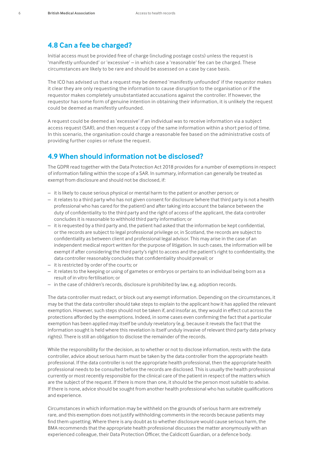## **4.8 Can a fee be charged?**

Initial access must be provided free of charge (including postage costs) unless the request is 'manifestly unfounded' or 'excessive' – in which case a 'reasonable' fee can be charged. These circumstances are likely to be rare and should be assessed on a case by case basis.

The ICO has advised us that a request may be deemed 'manifestly unfounded' if the requestor makes it clear they are only requesting the information to cause disruption to the organisation or if the requestor makes completely unsubstantiated accusations against the controller. If however, the requestor has some form of genuine intention in obtaining their information, it is unlikely the request could be deemed as manifestly unfounded.

A request could be deemed as 'excessive' if an individual was to receive information via a subject access request (SAR), and then request a copy of the same information within a short period of time. In this scenario, the organisation could charge a reasonable fee based on the administrative costs of providing further copies or refuse the request.

## **4.9 When should information not be disclosed?**

The GDPR read together with the Data Protection Act 2018 provides for a number of exemptions in respect of information falling within the scope of a SAR. In summary, information can generally be treated as exempt from disclosure and should not be disclosed, if:

- it is likely to cause serious physical or mental harm to the patient or another person; or
- it relates to a third party who has not given consent for disclosure (where that third party is not a health professional who has cared for the patient) and after taking into account the balance between the duty of confidentiality to the third party and the right of access of the applicant, the data controller concludes it is reasonable to withhold third party information; or
- it is requested by a third party and, the patient had asked that the information be kept confidential, or the records are subject to legal professional privilege or, in Scotland, the records are subject to confidentiality as between client and professional legal advisor. This may arise in the case of an independent medical report written for the purpose of litigation. In such cases, the information will be exempt if after considering the third party's right to access and the patient's right to confidentiality, the data controller reasonably concludes that confidentiality should prevail; or
- it is restricted by order of the courts; or
- it relates to the keeping or using of gametes or embryos or pertains to an individual being born as a result of in vitro fertilisation; or
- in the case of children's records, disclosure is prohibited by law, e.g. adoption records.

The data controller must redact, or block out any exempt information. Depending on the circumstances, it may be that the data controller should take steps to explain to the applicant how it has applied the relevant exemption. However, such steps should not be taken if, and insofar as, they would in effect cut across the protections afforded by the exemptions. Indeed, in some cases even confirming the fact that a particular exemption has been applied may itself be unduly revelatory (e.g. because it reveals the fact that the information sought is held where this revelation is itself unduly invasive of relevant third party data privacy rights). There is still an obligation to disclose the remainder of the records.

While the responsibility for the decision, as to whether or not to disclose information, rests with the data controller, advice about serious harm must be taken by the data controller from the appropriate health professional. If the data controller is not the appropriate health professional, then the appropriate health professional needs to be consulted before the records are disclosed. This is usually the health professional currently or most recently responsible for the clinical care of the patient in respect of the matters which are the subject of the request. If there is more than one, it should be the person most suitable to advise. If there is none, advice should be sought from another health professional who has suitable qualifications and experience.

Circumstances in which information may be withheld on the grounds of serious harm are extremely rare, and this exemption does not justify withholding comments in the records because patients may find them upsetting. Where there is any doubt as to whether disclosure would cause serious harm, the BMA recommends that the appropriate health professional discusses the matter anonymously with an experienced colleague, their Data Protection Officer, the Caldicott Guardian, or a defence body.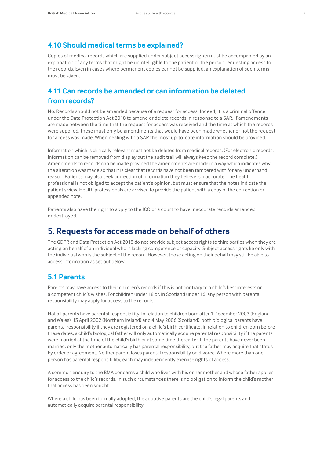# **4.10 Should medical terms be explained?**

Copies of medical records which are supplied under subject access rights must be accompanied by an explanation of any terms that might be unintelligible to the patient or the person requesting access to the records. Even in cases where permanent copies cannot be supplied, an explanation of such terms must be given.

# **4.11 Can records be amended or can information be deleted from records?**

No. Records should not be amended because of a request for access. Indeed, it is a criminal offence under the Data Protection Act 2018 to amend or delete records in response to a SAR. If amendments are made between the time that the request for access was received and the time at which the records were supplied, these must only be amendments that would have been made whether or not the request for access was made. When dealing with a SAR the most up-to-date information should be provided.

Information which is clinically relevant must not be deleted from medical records. (For electronic records, information can be removed from display but the audit trail will always keep the record complete.) Amendments to records can be made provided the amendments are made in a way which indicates why the alteration was made so that it is clear that records have not been tampered with for any underhand reason. Patients may also seek correction of information they believe is inaccurate. The health professional is not obliged to accept the patient's opinion, but must ensure that the notes indicate the patient's view. Health professionals are advised to provide the patient with a copy of the correction or appended note.

Patients also have the right to apply to the ICO or a court to have inaccurate records amended or destroyed.

# **5. Requests for access made on behalf of others**

The GDPR and Data Protection Act 2018 do not provide subject access rights to third parties when they are acting on behalf of an individual who is lacking competence or capacity. Subject access rights lie only with the individual who is the subject of the record. However, those acting on their behalf may still be able to access information as set out below.

# **5.1 Parents**

Parents may have access to their children's records if this is not contrary to a child's best interests or a competent child's wishes. For children under 18 or, in Scotland under 16, any person with parental responsibility may apply for access to the records.

Not all parents have parental responsibility. In relation to children born after 1 December 2003 (England and Wales), 15 April 2002 (Northern Ireland) and 4 May 2006 (Scotland), both biological parents have parental responsibility if they are registered on a child's birth certificate. In relation to children born before these dates, a child's biological father will only automatically acquire parental responsibility if the parents were married at the time of the child's birth or at some time thereafter. If the parents have never been married, only the mother automatically has parental responsibility, but the father may acquire that status by order or agreement. Neither parent loses parental responsibility on divorce. Where more than one person has parental responsibility, each may independently exercise rights of access.

A common enquiry to the BMA concerns a child who lives with his or her mother and whose father applies for access to the child's records. In such circumstances there is no obligation to inform the child's mother that access has been sought.

Where a child has been formally adopted, the adoptive parents are the child's legal parents and automatically acquire parental responsibility.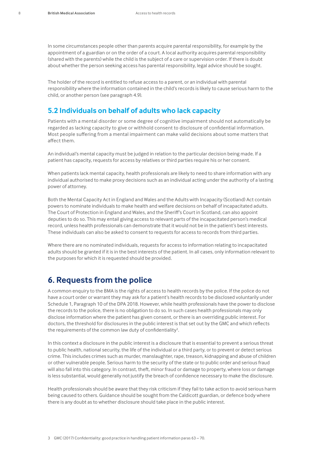In some circumstances people other than parents acquire parental responsibility, for example by the appointment of a guardian or on the order of a court. A local authority acquires parental responsibility (shared with the parents) while the child is the subject of a care or supervision order. If there is doubt about whether the person seeking access has parental responsibility, legal advice should be sought.

The holder of the record is entitled to refuse access to a parent, or an individual with parental responsibility where the information contained in the child's records is likely to cause serious harm to the child, or another person (see paragraph 4.9).

#### **5.2 Individuals on behalf of adults who lack capacity**

Patients with a mental disorder or some degree of cognitive impairment should not automatically be regarded as lacking capacity to give or withhold consent to disclosure of confidential information. Most people suffering from a mental impairment can make valid decisions about some matters that affect them.

An individual's mental capacity must be judged in relation to the particular decision being made. If a patient has capacity, requests for access by relatives or third parties require his or her consent.

When patients lack mental capacity, health professionals are likely to need to share information with any individual authorised to make proxy decisions such as an individual acting under the authority of a lasting power of attorney.

Both the Mental Capacity Act in England and Wales and the Adults with Incapacity (Scotland) Act contain powers to nominate individuals to make health and welfare decisions on behalf of incapacitated adults. The Court of Protection in England and Wales, and the Sheriff's Court in Scotland, can also appoint deputies to do so. This may entail giving access to relevant parts of the incapacitated person's medical record, unless health professionals can demonstrate that it would not be in the patient's best interests. These individuals can also be asked to consent to requests for access to records from third parties.

Where there are no nominated individuals, requests for access to information relating to incapacitated adults should be granted if it is in the best interests of the patient. In all cases, only information relevant to the purposes for which it is requested should be provided.

# **6. Requests from the police**

A common enquiry to the BMA is the rights of access to health records by the police. If the police do not have a court order or warrant they may ask for a patient's health records to be disclosed voluntarily under Schedule 1, Paragraph 10 of the DPA 2018. However, while health professionals have the power to disclose the records to the police, there is no obligation to do so. In such cases health professionals may only disclose information where the patient has given consent, or there is an overriding public interest. For doctors, the threshold for disclosures in the public interest is that set out by the GMC and which reflects the requirements of the common law duty of confidentiality<sup>3</sup>. .

In this context a disclosure in the public interest is a disclosure that is essential to prevent a serious threat to public health, national security, the life of the individual or a third party, or to prevent or detect serious crime. This includes crimes such as murder, manslaughter, rape, treason, kidnapping and abuse of children or other vulnerable people. Serious harm to the security of the state or to public order and serious fraud will also fall into this category. In contrast, theft, minor fraud or damage to property, where loss or damage is less substantial, would generally not justify the breach of confidence necessary to make the disclosure.

Health professionals should be aware that they risk criticism if they fail to take action to avoid serious harm being caused to others. Guidance should be sought from the Caldicott guardian, or defence body where there is any doubt as to whether disclosure should take place in the public interest.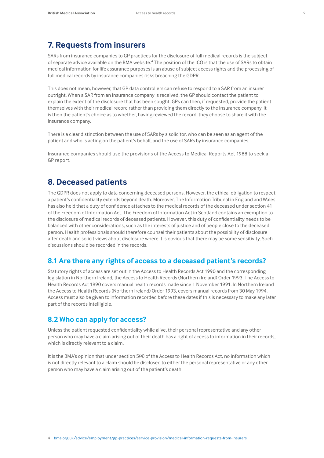# **7. Requests from insurers**

SARs from insurance companies to GP practices for the disclosure of full medical records is the subject of separate advice available on the BMA website.<sup>4</sup> The position of the ICO is that the use of SARs to obtain medical information for life assurance purposes is an abuse of subject access rights and the processing of full medical records by insurance companies risks breaching the GDPR.

This does not mean, however, that GP data controllers can refuse to respond to a SAR from an insurer outright. When a SAR from an insurance company is received, the GP should contact the patient to explain the extent of the disclosure that has been sought. GPs can then, if requested, provide the patient themselves with their medical record rather than providing them directly to the insurance company. It is then the patient's choice as to whether, having reviewed the record, they choose to share it with the insurance company.

There is a clear distinction between the use of SARs by a solicitor, who can be seen as an agent of the patient and who is acting on the patient's behalf, and the use of SARs by insurance companies.

Insurance companies should use the provisions of the Access to Medical Reports Act 1988 to seek a GP report.

# **8. Deceased patients**

The GDPR does not apply to data concerning deceased persons. However, the ethical obligation to respect a patient's confidentiality extends beyond death. Moreover, The Information Tribunal in England and Wales has also held that a duty of confidence attaches to the medical records of the deceased under section 41 of the Freedom of Information Act. The Freedom of Information Act in Scotland contains an exemption to the disclosure of medical records of deceased patients. However, this duty of confidentiality needs to be balanced with other considerations, such as the interests of justice and of people close to the deceased person. Health professionals should therefore counsel their patients about the possibility of disclosure after death and solicit views about disclosure where it is obvious that there may be some sensitivity. Such discussions should be recorded in the records.

# **8.1 Are there any rights of access to a deceased patient's records?**

Statutory rights of access are set out in the Access to Health Records Act 1990 and the corresponding legislation in Northern Ireland, the Access to Health Records (Northern Ireland) Order 1993. The Access to Health Records Act 1990 covers manual health records made since 1 November 1991. In Northern Ireland the Access to Health Records (Northern Ireland) Order 1993, covers manual records from 30 May 1994. Access must also be given to information recorded before these dates if this is necessary to make any later part of the records intelligible.

## **8.2 Who can apply for access?**

Unless the patient requested confidentiality while alive, their personal representative and any other person who may have a claim arising out of their death has a right of access to information in their records, which is directly relevant to a claim.

It is the BMA's opinion that under section 5(4) of the Access to Health Records Act, no information which is not directly relevant to a claim should be disclosed to either the personal representative or any other person who may have a claim arising out of the patient's death.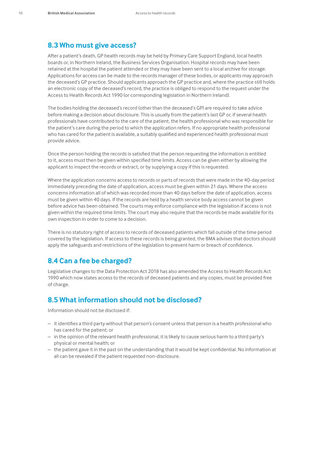#### **8.3 Who must give access?**

After a patient's death, GP health records may be held by Primary Care Support England, local health boards or, in Northern Ireland, the Business Services Organisation. Hospital records may have been retained at the hospital the patient attended or they may have been sent to a local archive for storage. Applications for access can be made to the records manager of these bodies, or applicants may approach the deceased's GP practice. Should applicants approach the GP practice and, where the practice still holds an electronic copy of the deceased's record, the practice is obliged to respond to the request under the Access to Health Records Act 1990 (or corresponding legislation in Northern Ireland).

The bodies holding the deceased's record (other than the deceased's GP) are required to take advice before making a decision about disclosure. This is usually from the patient's last GP or, if several health professionals have contributed to the care of the patient, the health professional who was responsible for the patient's care during the period to which the application refers. If no appropriate health professional who has cared for the patient is available, a suitably qualified and experienced health professional must provide advice.

Once the person holding the records is satisfied that the person requesting the information is entitled to it, access must then be given within specified time limits. Access can be given either by allowing the applicant to inspect the records or extract, or by supplying a copy if this is requested.

Where the application concerns access to records or parts of records that were made in the 40-day period immediately preceding the date of application, access must be given within 21 days. Where the access concerns information all of which was recorded more than 40 days before the date of application, access must be given within 40 days. If the records are held by a health service body access cannot be given before advice has been obtained. The courts may enforce compliance with the legislation if access is not given within the required time limits. The court may also require that the records be made available for its own inspection in order to come to a decision.

There is no statutory right of access to records of deceased patients which fall outside of the time period covered by the legislation. If access to these records is being granted, the BMA advises that doctors should apply the safeguards and restrictions of the legislation to prevent harm or breach of confidence.

## **8.4 Can a fee be charged?**

Legislative changes to the Data Protection Act 2018 has also amended the Access to Health Records Act 1990 which now states access to the records of deceased patients and any copies, must be provided free of charge.

## **8.5 What information should not be disclosed?**

Information should not be disclosed if:

- it identifies a third party without that person's consent unless that person is a health professional who has cared for the patient; or
- in the opinion of the relevant health professional, it is likely to cause serious harm to a third party's physical or mental health; or
- the patient gave it in the past on the understanding that it would be kept confidential. No information at all can be revealed if the patient requested non-disclosure.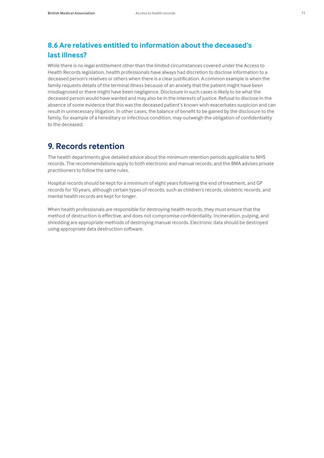# **8.6 Are relatives entitled to information about the deceased's last illness?**

While there is no legal entitlement other than the limited circumstances covered under the Access to Health Records legislation, health professionals have always had discretion to disclose information to a deceased person's relatives or others when there is a clear justification. A common example is when the family requests details of the terminal illness because of an anxiety that the patient might have been misdiagnosed or there might have been negligence. Disclosure in such cases is likely to be what the deceased person would have wanted and may also be in the interests of justice. Refusal to disclose in the absence of some evidence that this was the deceased patient's known wish exacerbates suspicion and can result in unnecessary litigation. In other cases, the balance of benefit to be gained by the disclosure to the family, for example of a hereditary or infectious condition, may outweigh the obligation of confidentiality to the deceased.

# **9. Records retention**

The health departments give detailed advice about the minimum retention periods applicable to NHS records. The recommendations apply to both electronic and manual records, and the BMA advises private practitioners to follow the same rules.

Hospital records should be kept for a minimum of eight years following the end of treatment, and GP records for 10 years, although certain types of records, such as children's records, obstetric records, and mental health records are kept for longer.

When health professionals are responsible for destroying health records, they must ensure that the method of destruction is effective, and does not compromise confidentiality. Incineration, pulping, and shredding are appropriate methods of destroying manual records. Electronic data should be destroyed using appropriate data destruction software.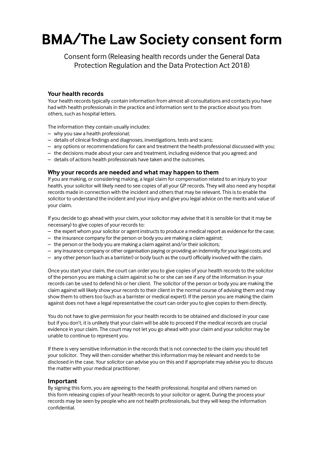# **BMA/The Law Society consent form**

Consent form (Releasing health records under the General Data Protection Regulation and the Data Protection Act 2018)

#### **Your health records**

Your health records typically contain information from almost all consultations and contacts you have had with health professionals in the practice and information sent to the practice about you from others, such as hospital letters.

The information they contain usually includes:

- why you saw a health professional;
- details of clinical findings and diagnoses, investigations, tests and scans;
- any options or recommendations for care and treatment the health professional discussed with you;
- the decisions made about your care and treatment, including evidence that you agreed; and
- details of actions health professionals have taken and the outcomes.

#### **Why your records are needed and what may happen to them**

If you are making, or considering making, a legal claim for compensation related to an injury to your health, your solicitor will likely need to see copies of all your GP records. They will also need any hospital records made in connection with the incident and others that may be relevant. This is to enable the solicitor to understand the incident and your injury and give you legal advice on the merits and value of your claim.

If you decide to go ahead with your claim, your solicitor may advise that it is sensible (or that it may be necessary) to give copies of your records to:

- the expert whom your solicitor or agent instructs to produce a medical report as evidence for the case;
- the insurance company for the person or body you are making a claim against;
- the person or the body you are making a claim against and/or their solicitors;
- any insurance company or other organisation paying or providing an indemnity for your legal costs; and
- any other person (such as a barrister) or body (such as the court) officially involved with the claim.

Once you start your claim, the court can order you to give copies of your health records to the solicitor of the person you are making a claim against so he or she can see if any of the information in your records can be used to defend his or her client. The solicitor of the person or body you are making the claim against will likely show your records to their client in the normal course of advising them and may show them to others too (such as a barrister or medical expert). If the person you are making the claim against does not have a legal representative the court can order you to give copies to them directly.

You do not have to give permission for your health records to be obtained and disclosed in your case but if you don't, it is unlikely that your claim will be able to proceed if the medical records are crucial evidence in your claim. The court may not let you go ahead with your claim and your solicitor may be unable to continue to represent you.

If there is very sensitive information in the records that is not connected to the claim you should tell your solicitor. They will then consider whether this information may be relevant and needs to be disclosed in the case. Your solicitor can advise you on this and if appropriate may advise you to discuss the matter with your medical practitioner.

#### **Important**

By signing this form, you are agreeing to the health professional, hospital and others named on this form releasing copies of your health records to your solicitor or agent. During the process your records may be seen by people who are not health professionals, but they will keep the information confidential.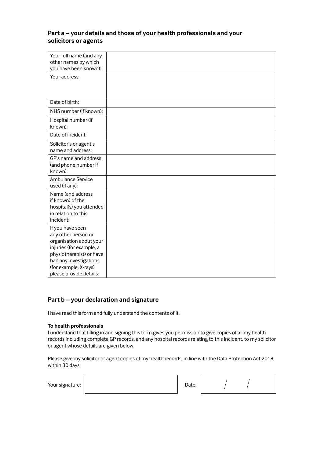## **Part a – your details and those of your health professionals and your solicitors or agents**

| Your full name (and any<br>other names by which<br>you have been known):                                                                                                                                 |  |
|----------------------------------------------------------------------------------------------------------------------------------------------------------------------------------------------------------|--|
| Your address:                                                                                                                                                                                            |  |
| Date of birth:                                                                                                                                                                                           |  |
| NHS number (if known):                                                                                                                                                                                   |  |
| Hospital number (if<br>known):                                                                                                                                                                           |  |
| Date of incident:                                                                                                                                                                                        |  |
| Solicitor's or agent's<br>name and address:                                                                                                                                                              |  |
| GP's name and address<br>(and phone number if<br>known):                                                                                                                                                 |  |
| Ambulance Service<br>used (if any):                                                                                                                                                                      |  |
| Name (and address<br>if known) of the<br>hospital(s) you attended<br>in relation to this<br>incident:                                                                                                    |  |
| If you have seen<br>any other person or<br>organisation about your<br>injuries (for example, a<br>physiotherapist) or have<br>had any investigations<br>(for example, X-rays)<br>please provide details: |  |

#### **Part b – your declaration and signature**

I have read this form and fully understand the contents of it.

#### **To health professionals**

I understand that filling in and signing this form gives you permission to give copies of all my health records including complete GP records, and any hospital records relating to this incident, to my solicitor or agent whose details are given below.

Please give my solicitor or agent copies of my health records, in line with the Data Protection Act 2018, within 30 days.

Your signature:  $\begin{vmatrix} 1 & 0 & 0 \\ 0 & 1 & 0 \\ 0 & 0 & 0 \end{vmatrix}$  D

| ate: |  |  |  |
|------|--|--|--|
|------|--|--|--|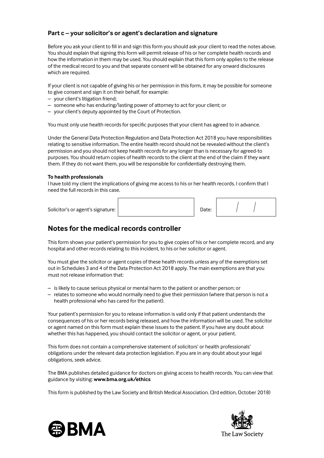## **Part c – your solicitor's or agent's declaration and signature**

Before you ask your client to fill in and sign this form you should ask your client to read the notes above. You should explain that signing this form will permit release of his or her complete health records and how the information in them may be used. You should explain that this form only applies to the release of the medical record to you and that separate consent will be obtained for any onward disclosures which are required.

If your client is not capable of giving his or her permission in this form, it may be possible for someone to give consent and sign it on their behalf, for example:

- your client's litigation friend;
- someone who has enduring/lasting power of attorney to act for your client; or
- your client's deputy appointed by the Court of Protection.

You must only use health records for specific purposes that your client has agreed to in advance.

Under the General Data Protection Regulation and Data Protection Act 2018 you have responsibilities relating to sensitive information. The entire health record should not be revealed without the client's permission and you should not keep health records for any longer than is necessary for agreed-to purposes. You should return copies of health records to the client at the end of the claim if they want them. If they do not want them, you will be responsible for confidentially destroying them.

#### **To health professionals**

I have told my client the implications of giving me access to his or her health records. I confirm that I need the full records in this case.

| Solicitor's or agent's signature: | Date: |  |  |
|-----------------------------------|-------|--|--|

# **Notes for the medical records controller**

This form shows your patient's permission for you to give copies of his or her complete record, and any hospital and other records relating to this incident, to his or her solicitor or agent.

You must give the solicitor or agent copies of these health records unless any of the exemptions set out in Schedules 3 and 4 of the Data Protection Act 2018 apply. The main exemptions are that you must not release information that:

- is likely to cause serious physical or mental harm to the patient or another person; or
- relates to someone who would normally need to give their permission (where that person is not a health professional who has cared for the patient).

Your patient's permission for you to release information is valid only if that patient understands the consequences of his or her records being released, and how the information will be used. The solicitor or agent named on this form must explain these issues to the patient. If you have any doubt about whether this has happened, you should contact the solicitor or agent, or your patient.

This form does not contain a comprehensive statement of solicitors' or health professionals' obligations under the relevant data protection legislation. If you are in any doubt about your legal obligations, seek advice.

The BMA publishes detailed guidance for doctors on giving access to health records. You can view that guidance by visiting: **www.bma.org.uk/ethics**

This form is published by the Law Society and British Medical Association. (3rd edition, October 2018)